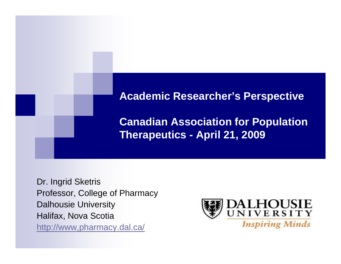

Dr. Ingrid Sketris Professor, College of Pharmacy Dalhousie University Halifax, Nova Scotia http://www,pharmacy.dal.ca/

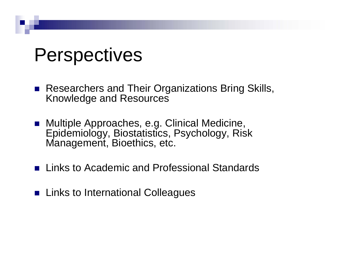## Perspectives

- Researchers and Their Organizations Bring Skills, Knowledge and Resources
- Multiple Approaches, e.g. Clinical Medicine, Epidemiology, Biostatistics, Psychology, Risk Management, Bioethics, etc.
- **Links to Academic and Professional Standards**
- **Links to International Colleagues**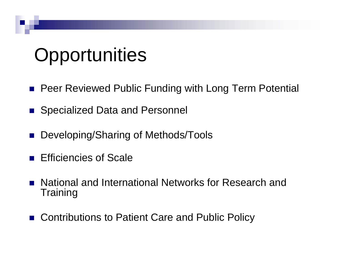## **Opportunities**

- Peer Reviewed Public Funding with Long Term Potential
- F. Specialized Data and Personnel
- Developing/Sharing of Methods/Tools
- F. Efficiencies of Scale
- F. National and International Networks for Research and **Training**
- **College** Contributions to Patient Care and Public Policy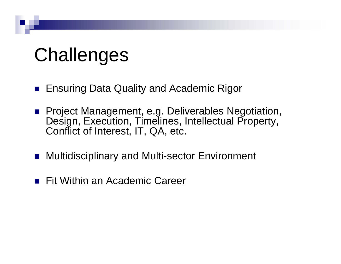## Challenges

- **Ensuring Data Quality and Academic Rigor**
- Project Management, e.g. Deliverables Negotiation,<br>Design, Execution, Timelines, Intellectual Property, Conflict of Interest, IT, QA, etc.
- Multidisciplinary and Multi-sector Environment
- **Fit Within an Academic Career**